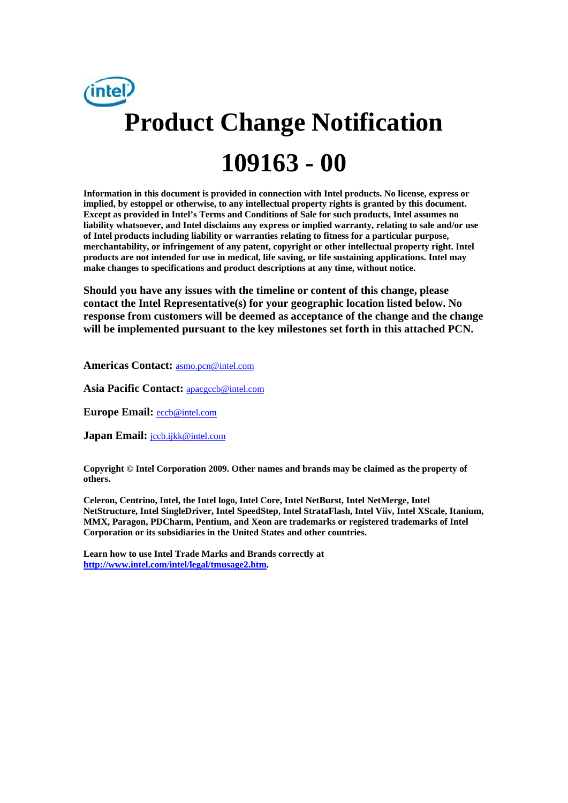

**Information in this document is provided in connection with Intel products. No license, express or implied, by estoppel or otherwise, to any intellectual property rights is granted by this document. Except as provided in Intel's Terms and Conditions of Sale for such products, Intel assumes no liability whatsoever, and Intel disclaims any express or implied warranty, relating to sale and/or use of Intel products including liability or warranties relating to fitness for a particular purpose, merchantability, or infringement of any patent, copyright or other intellectual property right. Intel products are not intended for use in medical, life saving, or life sustaining applications. Intel may make changes to specifications and product descriptions at any time, without notice.** 

**Should you have any issues with the timeline or content of this change, please contact the Intel Representative(s) for your geographic location listed below. No response from customers will be deemed as acceptance of the change and the change will be implemented pursuant to the key milestones set forth in this attached PCN.** 

**Americas Contact:** asmo.pcn@intel.com

Asia Pacific Contact: **apacgccb@intel.com** 

**Europe Email:** eccb@intel.com

**Japan Email:** jccb.ijkk@intel.com

**Copyright © Intel Corporation 2009. Other names and brands may be claimed as the property of others.**

**Celeron, Centrino, Intel, the Intel logo, Intel Core, Intel NetBurst, Intel NetMerge, Intel NetStructure, Intel SingleDriver, Intel SpeedStep, Intel StrataFlash, Intel Viiv, Intel XScale, Itanium, MMX, Paragon, PDCharm, Pentium, and Xeon are trademarks or registered trademarks of Intel Corporation or its subsidiaries in the United States and other countries.** 

**Learn how to use Intel Trade Marks and Brands correctly at http://www.intel.com/intel/legal/tmusage2.htm.**